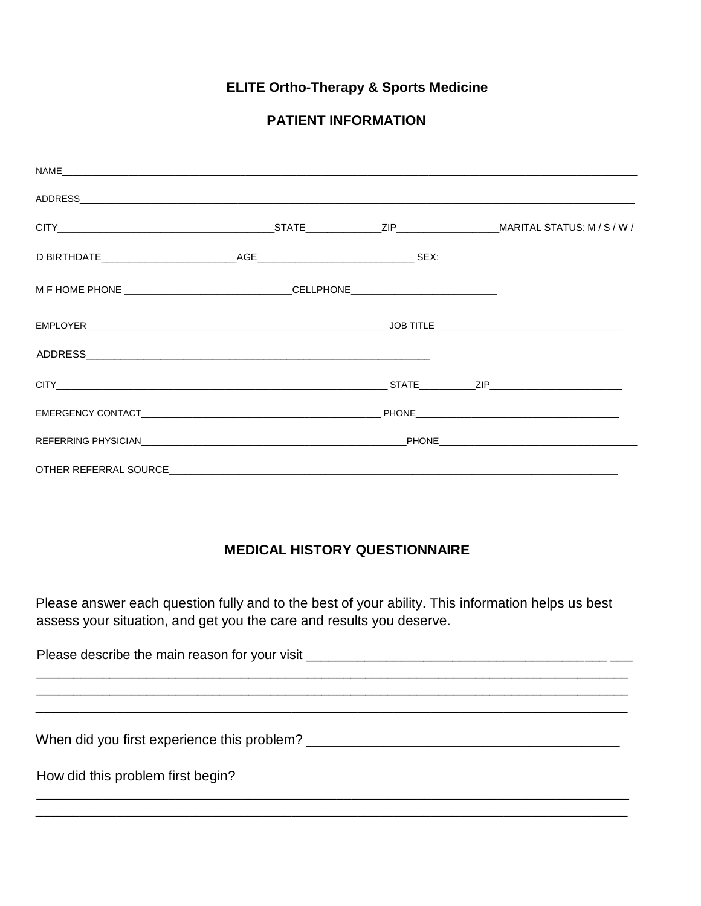# **ELITE Ortho-Therapy & Sports Medicine**

### **PATIENT INFORMATION**

| OTHER REFERRAL SOURCE |  |  |  |
|-----------------------|--|--|--|

## **MEDICAL HISTORY QUESTIONNAIRE**

Please answer each question fully and to the best of your ability. This information helps us best assess your situation, and get you the care and results you deserve.

How did this problem first begin?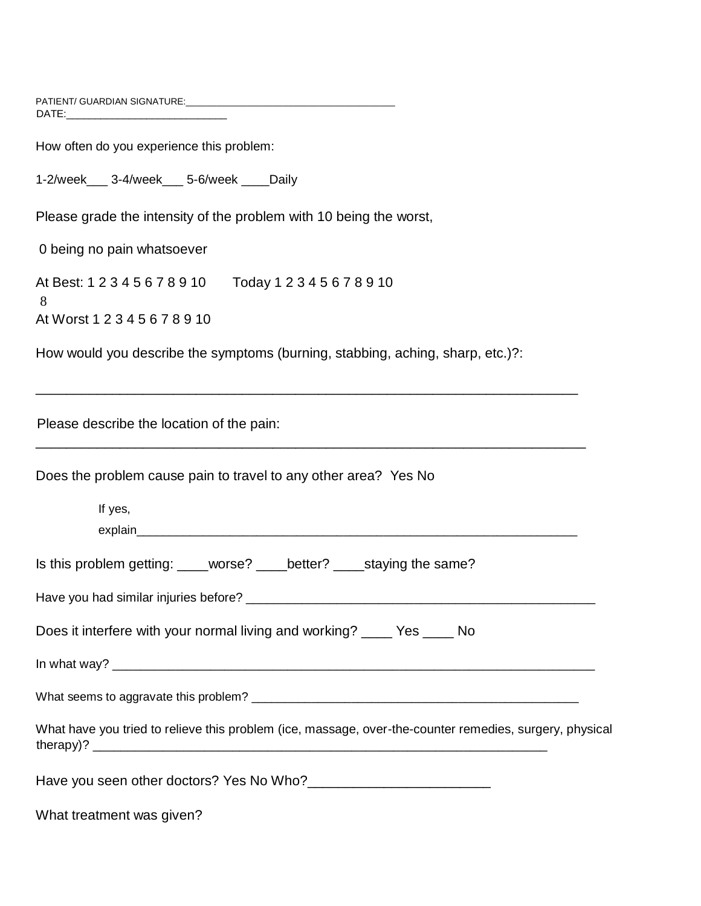PATIENT/ GUARDIAN SIGNATURE:\_\_\_\_\_\_\_\_\_\_\_\_\_\_\_\_\_\_\_\_\_\_\_\_\_\_\_\_\_\_\_\_\_\_\_\_\_\_\_\_\_ DATE:\_\_\_\_\_\_\_\_\_\_\_\_\_\_\_\_\_\_\_\_\_\_\_\_\_\_\_\_

How often do you experience this problem:

1-2/week\_\_\_ 3-4/week\_\_\_ 5-6/week \_\_\_\_Daily

Please grade the intensity of the problem with 10 being the worst,

0 being no pain whatsoever

At Best: 1 2 3 4 5 6 7 8 9 10 Today 1 2 3 4 5 6 7 8 9 10 8 At Worst 1 2 3 4 5 6 7 8 9 10

How would you describe the symptoms (burning, stabbing, aching, sharp, etc.)?:

\_\_\_\_\_\_\_\_\_\_\_\_\_\_\_\_\_\_\_\_\_\_\_\_\_\_\_\_\_\_\_\_\_\_\_\_\_\_\_\_\_\_\_\_\_\_\_\_\_\_\_\_\_\_\_\_\_\_\_\_\_\_\_\_\_\_\_\_\_\_\_

\_\_\_\_\_\_\_\_\_\_\_\_\_\_\_\_\_\_\_\_\_\_\_\_\_\_\_\_\_\_\_\_\_\_\_\_\_\_\_\_\_\_\_\_\_\_\_\_\_\_\_\_\_\_\_\_\_\_\_\_\_\_\_\_\_\_\_\_\_\_\_\_

Please describe the location of the pain:

Does the problem cause pain to travel to any other area? Yes No

| $Q = 2 \times 10^{-10}$<br>$L = 11 - 10$<br>$\Omega$ a suspension of the set of $\Omega$ |  |
|------------------------------------------------------------------------------------------|--|
| explain_                                                                                 |  |
| If yes,                                                                                  |  |

| Is this problem getting: | worse? | better? | _____staying the same? |
|--------------------------|--------|---------|------------------------|
|--------------------------|--------|---------|------------------------|

| Have you had similar injuries before? |  |
|---------------------------------------|--|
|                                       |  |

Does it interfere with your normal living and working? \_\_\_\_ Yes \_\_\_\_ No

In what way? \_\_\_\_\_\_\_\_\_\_\_\_\_\_\_\_\_\_\_\_\_\_\_\_\_\_\_\_\_\_\_\_\_\_\_\_\_\_\_\_\_\_\_\_\_\_\_\_\_\_\_\_\_\_\_\_\_\_\_\_\_\_\_\_\_\_\_\_\_

What seems to aggravate this problem? \_\_\_\_\_\_\_\_\_\_\_\_\_\_\_\_\_\_\_\_\_\_\_\_\_\_\_\_\_\_\_\_\_\_\_\_\_\_\_\_\_\_\_\_\_\_\_\_\_

| What have you tried to relieve this problem (ice, massage, over-the-counter remedies, surgery, physical |  |  |  |
|---------------------------------------------------------------------------------------------------------|--|--|--|
| therapy)? $\overline{\phantom{0}}$                                                                      |  |  |  |

Have you seen other doctors? Yes No Who?\_\_\_\_\_\_\_\_\_\_\_\_\_\_\_\_\_\_\_\_\_\_\_\_

What treatment was given?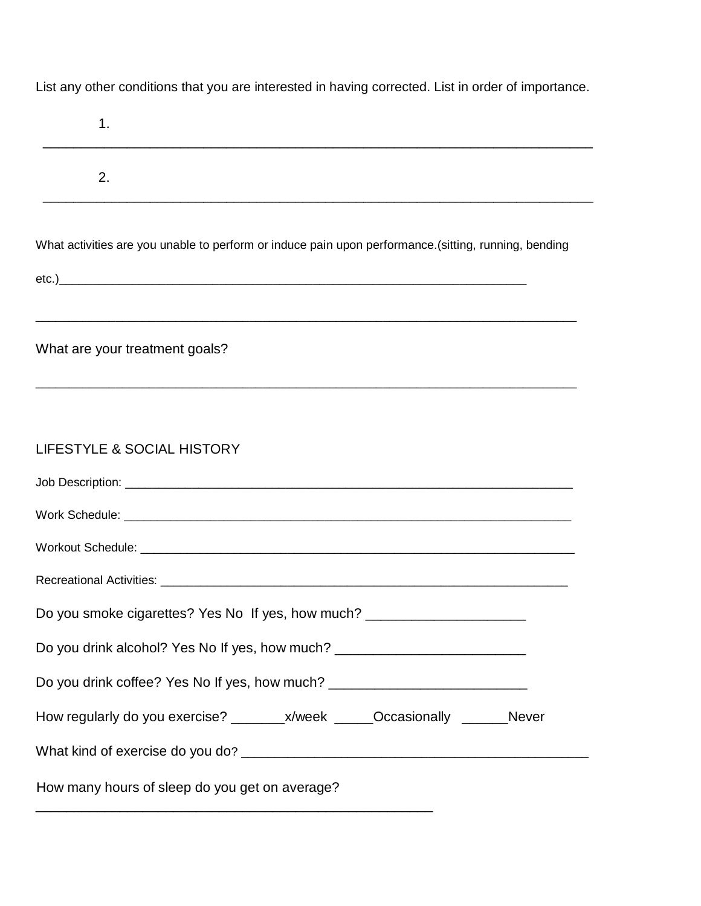List any other conditions that you are interested in having corrected. List in order of importance.

| 1.                                                                                                   |
|------------------------------------------------------------------------------------------------------|
| 2.                                                                                                   |
| What activities are you unable to perform or induce pain upon performance.(sitting, running, bending |
| What are your treatment goals?                                                                       |
| LIFESTYLE & SOCIAL HISTORY                                                                           |
|                                                                                                      |
|                                                                                                      |
|                                                                                                      |
| Do you smoke cigarettes? Yes No If yes, how much? ______________________________                     |
| Do you drink alcohol? Yes No If yes, how much? _________________________________                     |
| Do you drink coffee? Yes No If yes, how much? __________________________________                     |
|                                                                                                      |
|                                                                                                      |
| How many hours of sleep do you get on average?                                                       |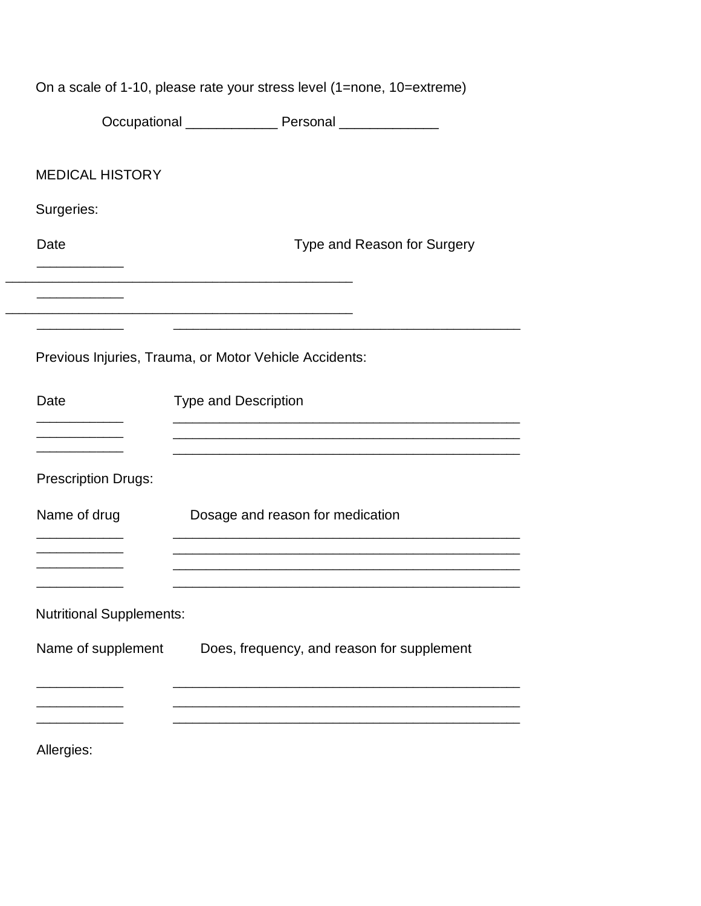| On a scale of 1-10, please rate your stress level (1=none, 10=extreme) |                                                            |  |  |
|------------------------------------------------------------------------|------------------------------------------------------------|--|--|
|                                                                        | Occupational ___________________ Personal ________________ |  |  |
| <b>MEDICAL HISTORY</b>                                                 |                                                            |  |  |
| Surgeries:                                                             |                                                            |  |  |
| Date                                                                   | Type and Reason for Surgery                                |  |  |
|                                                                        |                                                            |  |  |
|                                                                        | Previous Injuries, Trauma, or Motor Vehicle Accidents:     |  |  |
| Date                                                                   | <b>Type and Description</b>                                |  |  |
|                                                                        |                                                            |  |  |
| <b>Prescription Drugs:</b>                                             |                                                            |  |  |
| Name of drug                                                           | Dosage and reason for medication                           |  |  |
|                                                                        |                                                            |  |  |
| <b>Nutritional Supplements:</b>                                        |                                                            |  |  |
| Name of supplement                                                     | Does, frequency, and reason for supplement                 |  |  |
|                                                                        |                                                            |  |  |
| Allergies:                                                             |                                                            |  |  |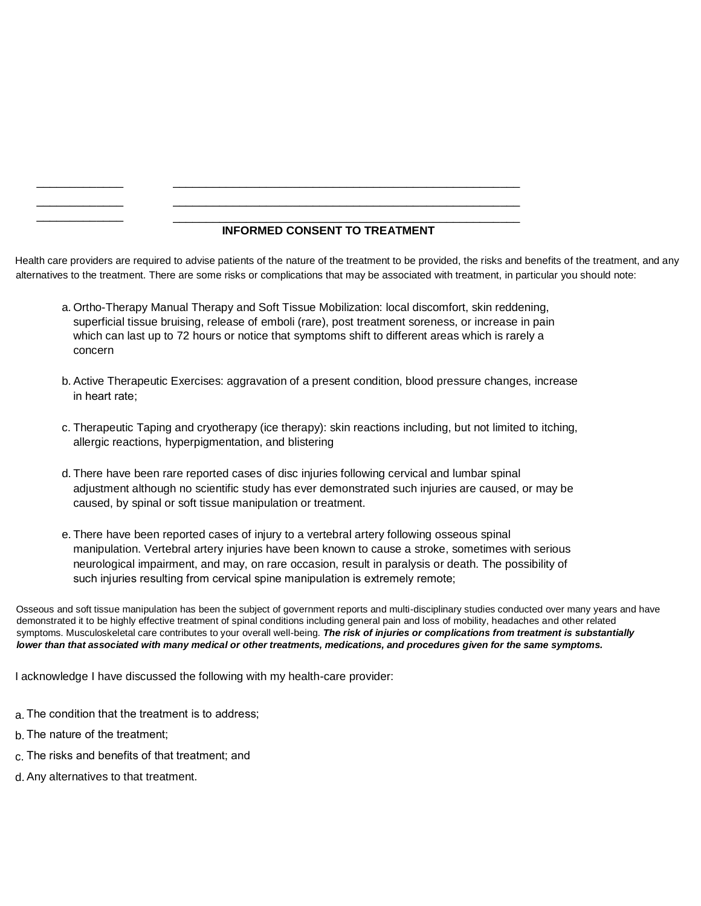#### **INFORMED CONSENT TO TREATMENT**

Health care providers are required to advise patients of the nature of the treatment to be provided, the risks and benefits of the treatment, and any alternatives to the treatment. There are some risks or complications that may be associated with treatment, in particular you should note:

\_\_\_\_\_\_\_\_\_\_\_\_\_\_\_\_\_\_\_\_\_\_\_\_\_\_\_\_\_\_\_\_\_\_\_\_\_\_\_\_\_\_\_\_\_\_\_\_\_\_\_\_ \_\_\_\_\_\_\_\_\_\_\_\_\_\_\_\_\_\_\_\_\_\_\_\_\_\_\_\_\_\_\_\_\_\_\_\_\_\_\_\_\_\_\_\_\_\_\_\_\_\_\_\_

a. Ortho-Therapy Manual Therapy and Soft Tissue Mobilization: local discomfort, skin reddening, superficial tissue bruising, release of emboli (rare), post treatment soreness, or increase in pain which can last up to 72 hours or notice that symptoms shift to different areas which is rarely a concern

 $\_$  ,  $\_$  ,  $\_$  ,  $\_$  ,  $\_$  ,  $\_$  ,  $\_$  ,  $\_$  ,  $\_$  ,  $\_$  ,  $\_$  ,  $\_$  ,  $\_$  ,  $\_$  ,  $\_$  ,  $\_$  ,  $\_$  ,  $\_$  ,  $\_$  ,  $\_$ 

- b. Active Therapeutic Exercises: aggravation of a present condition, blood pressure changes, increase in heart rate;
- c. Therapeutic Taping and cryotherapy (ice therapy): skin reactions including, but not limited to itching, allergic reactions, hyperpigmentation, and blistering
- d. There have been rare reported cases of disc injuries following cervical and lumbar spinal adjustment although no scientific study has ever demonstrated such injuries are caused, or may be caused, by spinal or soft tissue manipulation or treatment.
- e. There have been reported cases of injury to a vertebral artery following osseous spinal manipulation. Vertebral artery injuries have been known to cause a stroke, sometimes with serious neurological impairment, and may, on rare occasion, result in paralysis or death. The possibility of such injuries resulting from cervical spine manipulation is extremely remote;

Osseous and soft tissue manipulation has been the subject of government reports and multi-disciplinary studies conducted over many years and have demonstrated it to be highly effective treatment of spinal conditions including general pain and loss of mobility, headaches and other related symptoms. Musculoskeletal care contributes to your overall well-being. *The risk of injuries or complications from treatment is substantially lower than that associated with many medical or other treatments, medications, and procedures given for the same symptoms.*

I acknowledge I have discussed the following with my health-care provider:

- a. The condition that the treatment is to address;
- b. The nature of the treatment;

\_\_\_\_\_\_\_\_\_\_\_\_\_ \_\_\_\_\_\_\_\_\_\_\_\_\_

- c. The risks and benefits of that treatment; and
- d. Any alternatives to that treatment.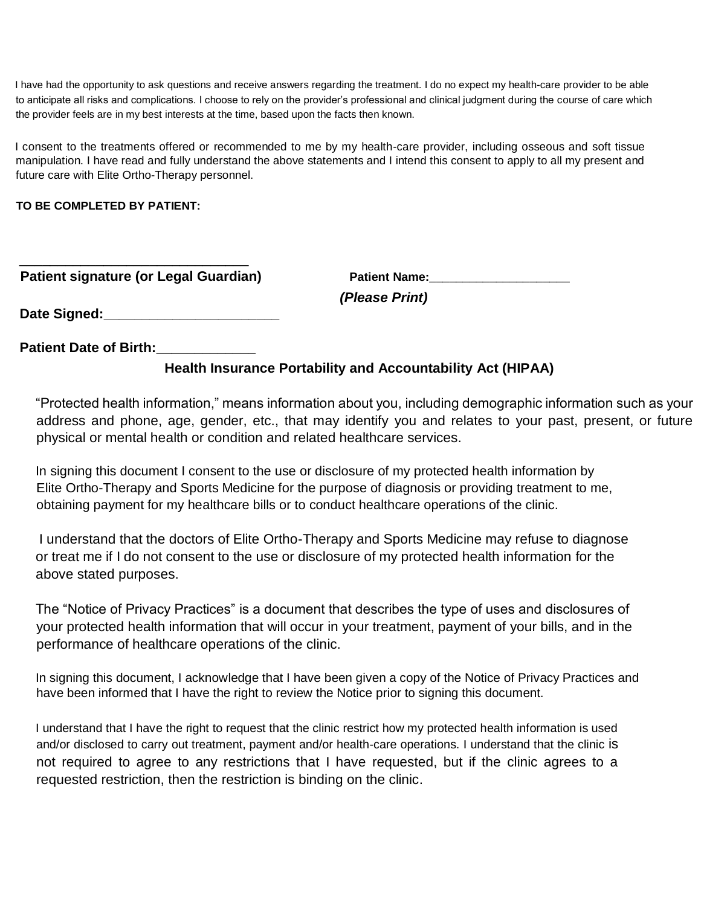I have had the opportunity to ask questions and receive answers regarding the treatment. I do no expect my health-care provider to be able to anticipate all risks and complications. I choose to rely on the provider's professional and clinical judgment during the course of care which the provider feels are in my best interests at the time, based upon the facts then known.

I consent to the treatments offered or recommended to me by my health-care provider, including osseous and soft tissue manipulation. I have read and fully understand the above statements and I intend this consent to apply to all my present and future care with Elite Ortho-Therapy personnel.

### **TO BE COMPLETED BY PATIENT:**

| <b>Patient signature (or Legal Guardian)</b> | <b>Patient Name:</b> |  |
|----------------------------------------------|----------------------|--|
|                                              | (Please Print)       |  |
| Date Signed:                                 |                      |  |

**Patient Date of Birth:** 

# **Health Insurance Portability and Accountability Act (HIPAA)**

"Protected health information," means information about you, including demographic information such as your address and phone, age, gender, etc., that may identify you and relates to your past, present, or future physical or mental health or condition and related healthcare services.

In signing this document I consent to the use or disclosure of my protected health information by Elite Ortho-Therapy and Sports Medicine for the purpose of diagnosis or providing treatment to me, obtaining payment for my healthcare bills or to conduct healthcare operations of the clinic.

I understand that the doctors of Elite Ortho-Therapy and Sports Medicine may refuse to diagnose or treat me if I do not consent to the use or disclosure of my protected health information for the above stated purposes.

The "Notice of Privacy Practices" is a document that describes the type of uses and disclosures of your protected health information that will occur in your treatment, payment of your bills, and in the performance of healthcare operations of the clinic.

In signing this document, I acknowledge that I have been given a copy of the Notice of Privacy Practices and have been informed that I have the right to review the Notice prior to signing this document.

I understand that I have the right to request that the clinic restrict how my protected health information is used and/or disclosed to carry out treatment, payment and/or health-care operations. I understand that the clinic is not required to agree to any restrictions that I have requested, but if the clinic agrees to a requested restriction, then the restriction is binding on the clinic.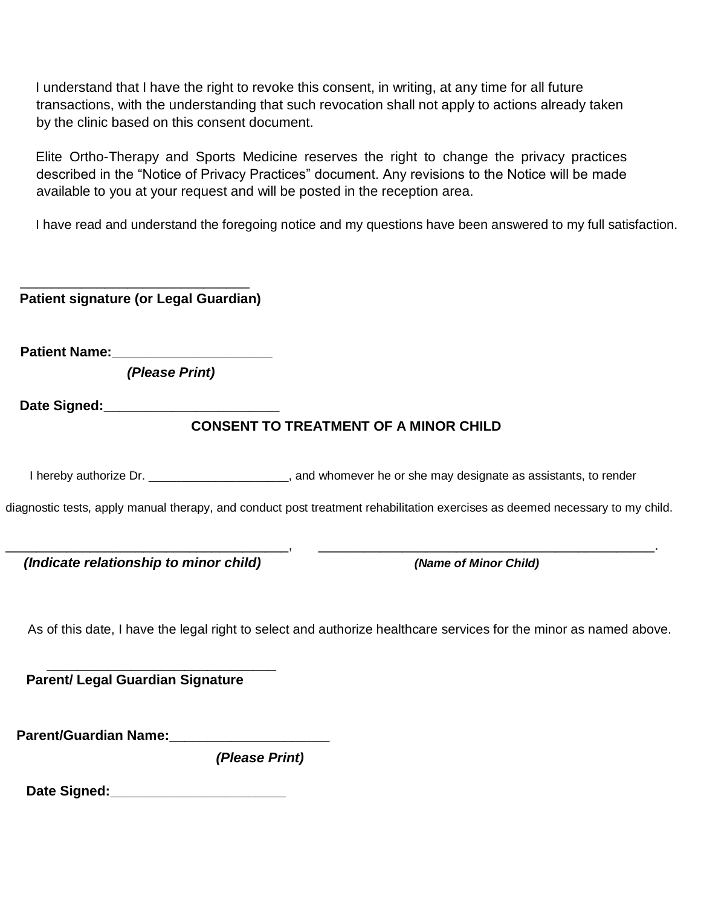I understand that I have the right to revoke this consent, in writing, at any time for all future transactions, with the understanding that such revocation shall not apply to actions already taken by the clinic based on this consent document.

Elite Ortho-Therapy and Sports Medicine reserves the right to change the privacy practices described in the "Notice of Privacy Practices" document. Any revisions to the Notice will be made available to you at your request and will be posted in the reception area.

I have read and understand the foregoing notice and my questions have been answered to my full satisfaction.

| <b>Patient signature (or Legal Guardian)</b>                                                                                                                                                                                   |                                                                                                                              |
|--------------------------------------------------------------------------------------------------------------------------------------------------------------------------------------------------------------------------------|------------------------------------------------------------------------------------------------------------------------------|
| Patient Name: _____________________                                                                                                                                                                                            |                                                                                                                              |
| (Please Print)                                                                                                                                                                                                                 |                                                                                                                              |
| Date Signed: _________________________                                                                                                                                                                                         |                                                                                                                              |
|                                                                                                                                                                                                                                | <b>CONSENT TO TREATMENT OF A MINOR CHILD</b>                                                                                 |
|                                                                                                                                                                                                                                | I hereby authorize Dr. ________________________, and whomever he or she may designate as assistants, to render               |
|                                                                                                                                                                                                                                | diagnostic tests, apply manual therapy, and conduct post treatment rehabilitation exercises as deemed necessary to my child. |
| (Indicate relationship to minor child)                                                                                                                                                                                         | (Name of Minor Child)                                                                                                        |
|                                                                                                                                                                                                                                | As of this date, I have the legal right to select and authorize healthcare services for the minor as named above.            |
| <b>Parent/ Legal Guardian Signature</b>                                                                                                                                                                                        |                                                                                                                              |
| Parent/Guardian Name: Name: Name and Separate and Separate and Separate and Separate and Separate and Separate and Separate and Separate and Separate and Separate and Separate and Separate and Separate and Separate and Sep |                                                                                                                              |
| (Please Print)                                                                                                                                                                                                                 |                                                                                                                              |
| Date Signed: ________________________                                                                                                                                                                                          |                                                                                                                              |